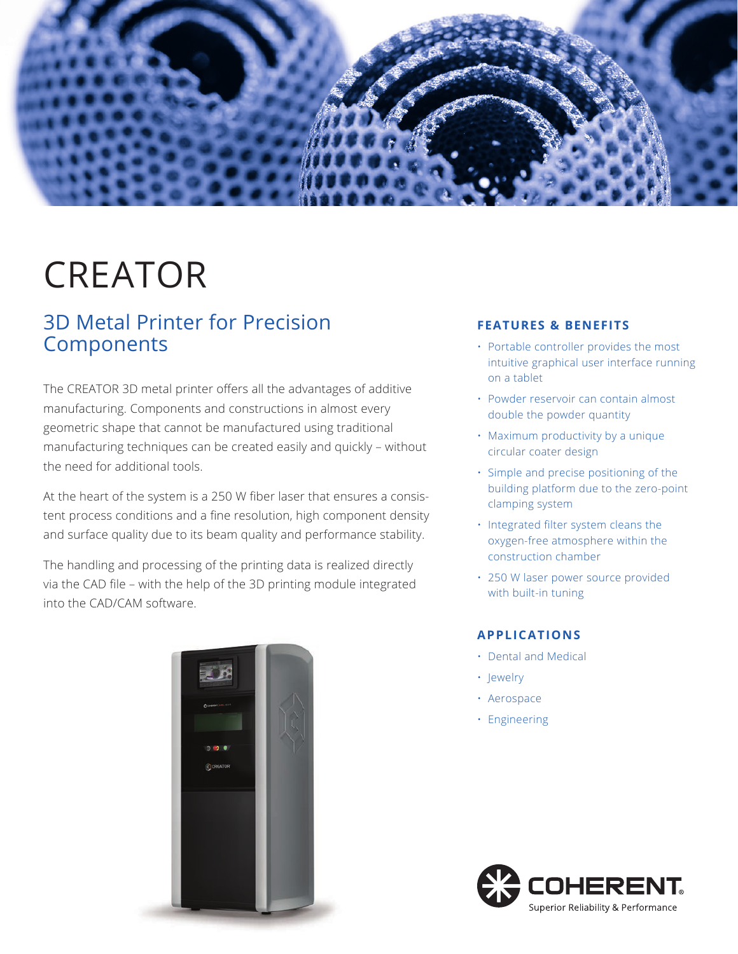

# CREATOR

# 3D Metal Printer for Precision **Components**

The CREATOR 3D metal printer offers all the advantages of additive manufacturing. Components and constructions in almost every geometric shape that cannot be manufactured using traditional manufacturing techniques can be created easily and quickly – without the need for additional tools.

At the heart of the system is a 250 W fiber laser that ensures a consistent process conditions and a fine resolution, high component density and surface quality due to its beam quality and performance stability.

The handling and processing of the printing data is realized directly via the CAD file – with the help of the 3D printing module integrated into the CAD/CAM software.



#### **FEATURES & BENEFITS**

- Portable controller provides the most intuitive graphical user interface running on a tablet
- Powder reservoir can contain almost double the powder quantity
- Maximum productivity by a unique circular coater design
- Simple and precise positioning of the building platform due to the zero-point clamping system
- Integrated filter system cleans the oxygen-free atmosphere within the construction chamber
- 250 W laser power source provided with built-in tuning

## **APPLICATIONS**

- Dental and Medical
- Jewelry
- Aerospace
- Engineering

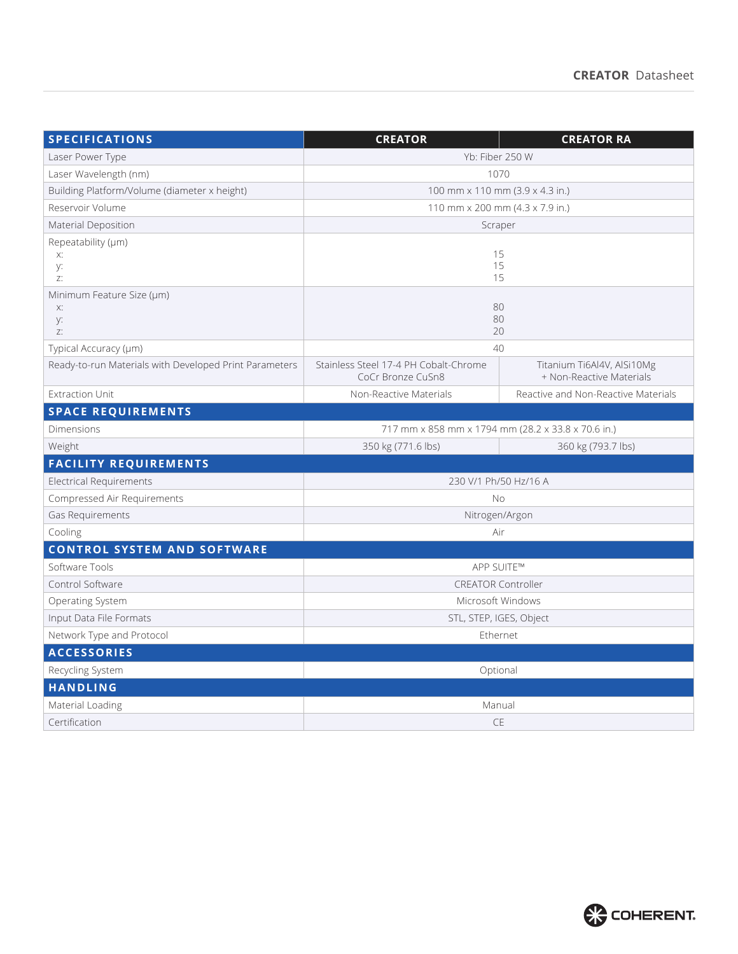| <b>SPECIFICATIONS</b>                                  | <b>CREATOR</b>                                             | <b>CREATOR RA</b>                                      |  |  |  |  |
|--------------------------------------------------------|------------------------------------------------------------|--------------------------------------------------------|--|--|--|--|
| Laser Power Type                                       | Yb: Fiber 250 W                                            |                                                        |  |  |  |  |
| Laser Wavelength (nm)                                  | 1070                                                       |                                                        |  |  |  |  |
| Building Platform/Volume (diameter x height)           | 100 mm x 110 mm (3.9 x 4.3 in.)                            |                                                        |  |  |  |  |
| Reservoir Volume                                       | 110 mm x 200 mm (4.3 x 7.9 in.)                            |                                                        |  |  |  |  |
| Material Deposition                                    | Scraper                                                    |                                                        |  |  |  |  |
| Repeatability (µm)                                     |                                                            |                                                        |  |  |  |  |
| Х.<br>y:                                               | 15<br>15                                                   |                                                        |  |  |  |  |
| Z:                                                     | 15                                                         |                                                        |  |  |  |  |
| Minimum Feature Size (µm)                              |                                                            |                                                        |  |  |  |  |
| Х:                                                     | 80                                                         |                                                        |  |  |  |  |
| y:<br>Z:                                               | 80<br>20                                                   |                                                        |  |  |  |  |
| Typical Accuracy (µm)                                  | 40                                                         |                                                        |  |  |  |  |
| Ready-to-run Materials with Developed Print Parameters | Stainless Steel 17-4 PH Cobalt-Chrome<br>CoCr Bronze CuSn8 | Titanium Ti6Al4V, AlSi10Mg<br>+ Non-Reactive Materials |  |  |  |  |
| <b>Extraction Unit</b>                                 | Non-Reactive Materials                                     | Reactive and Non-Reactive Materials                    |  |  |  |  |
| <b>SPACE REQUIREMENTS</b>                              |                                                            |                                                        |  |  |  |  |
| Dimensions                                             | 717 mm x 858 mm x 1794 mm (28.2 x 33.8 x 70.6 in.)         |                                                        |  |  |  |  |
| Weight                                                 | 350 kg (771.6 lbs)                                         | 360 kg (793.7 lbs)                                     |  |  |  |  |
| <b>FACILITY REQUIREMENTS</b>                           |                                                            |                                                        |  |  |  |  |
| Electrical Requirements                                | 230 V/1 Ph/50 Hz/16 A                                      |                                                        |  |  |  |  |
| Compressed Air Requirements                            | <b>No</b>                                                  |                                                        |  |  |  |  |
| Gas Requirements                                       | Nitrogen/Argon                                             |                                                        |  |  |  |  |
| Cooling                                                | Air                                                        |                                                        |  |  |  |  |
| <b>CONTROL SYSTEM AND SOFTWARE</b>                     |                                                            |                                                        |  |  |  |  |
| Software Tools                                         | APP SUITE™                                                 |                                                        |  |  |  |  |
| Control Software                                       | <b>CREATOR Controller</b>                                  |                                                        |  |  |  |  |
| <b>Operating System</b>                                | Microsoft Windows                                          |                                                        |  |  |  |  |
| Input Data File Formats                                | STL, STEP, IGES, Object                                    |                                                        |  |  |  |  |
| Network Type and Protocol                              | Ethernet                                                   |                                                        |  |  |  |  |
| <b>ACCESSORIES</b>                                     |                                                            |                                                        |  |  |  |  |
| Recycling System                                       | Optional                                                   |                                                        |  |  |  |  |
| <b>HANDLING</b>                                        |                                                            |                                                        |  |  |  |  |
| Material Loading                                       | Manual                                                     |                                                        |  |  |  |  |
| Certification                                          | CE                                                         |                                                        |  |  |  |  |

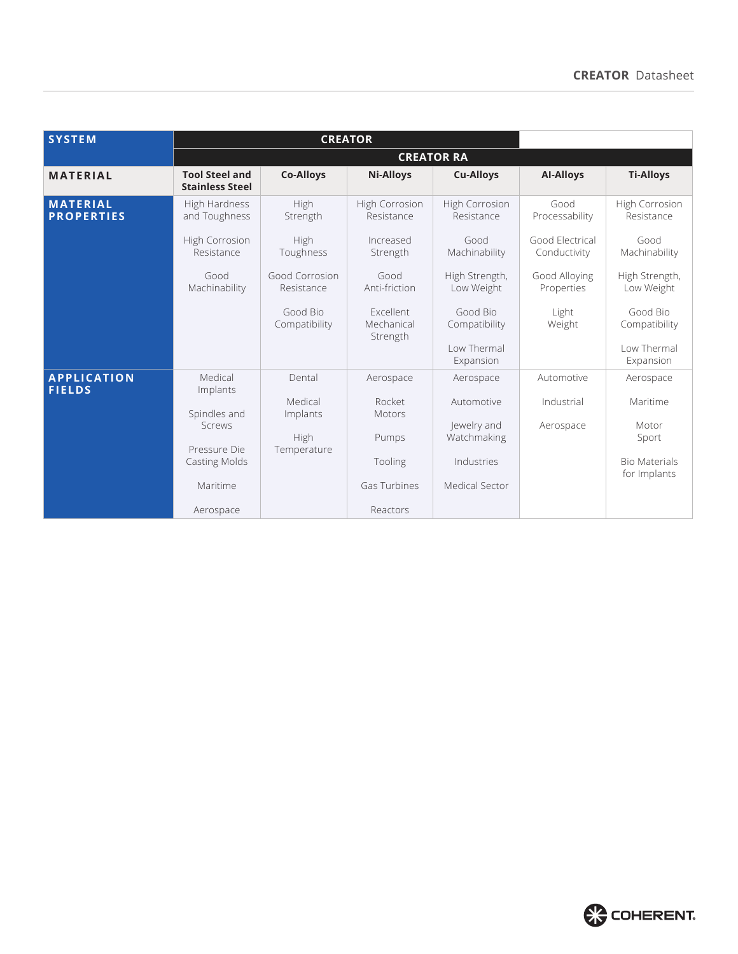| <b>SYSTEM</b>                        | <b>CREATOR</b>                                  |                              |                                            |                                 |                                 |                                      |  |
|--------------------------------------|-------------------------------------------------|------------------------------|--------------------------------------------|---------------------------------|---------------------------------|--------------------------------------|--|
|                                      | <b>CREATOR RA</b>                               |                              |                                            |                                 |                                 |                                      |  |
| <b>MATERIAL</b>                      | <b>Tool Steel and</b><br><b>Stainless Steel</b> | <b>Co-Alloys</b>             | <b>Ni-Alloys</b>                           | <b>Cu-Alloys</b>                | <b>AI-Alloys</b>                | <b>Ti-Alloys</b>                     |  |
| <b>MATERIAL</b><br><b>PROPERTIES</b> | High Hardness<br>and Toughness                  | High<br>Strength             | <b>High Corrosion</b><br>Resistance        | High Corrosion<br>Resistance    | Good<br>Processability          | <b>High Corrosion</b><br>Resistance  |  |
|                                      | <b>High Corrosion</b><br>Resistance             | High<br>Toughness            | Increased<br>Strength                      | Good<br>Machinability           | Good Flectrical<br>Conductivity | Good<br>Machinability                |  |
|                                      | Good<br>Machinability                           | Good Corrosion<br>Resistance | Good<br>Anti-friction                      | High Strength,<br>Low Weight    | Good Alloying<br>Properties     | High Strength,<br>Low Weight         |  |
|                                      |                                                 | Good Bio<br>Compatibility    | <b>Fxcellent</b><br>Mechanical<br>Strength | Good Bio<br>Compatibility       | Light<br>Weight                 | Good Bio<br>Compatibility            |  |
|                                      |                                                 |                              |                                            | <b>Low Thermal</b><br>Expansion |                                 | <b>Low Thermal</b><br>Expansion      |  |
| <b>APPLICATION</b><br><b>FIELDS</b>  | Medical<br>Implants                             | Dental                       | Aerospace                                  | Aerospace                       | Automotive                      | Aerospace                            |  |
|                                      | Spindles and<br>Screws                          | Medical<br>Implants          | Rocket<br>Motors                           | Automotive<br>Jewelry and       | Industrial<br>Aerospace         | Maritime<br>Motor                    |  |
|                                      | Pressure Die                                    | High<br>Temperature          | Pumps                                      | Watchmaking                     |                                 | Sport                                |  |
|                                      | <b>Casting Molds</b>                            |                              | Tooling                                    | Industries                      |                                 | <b>Bio Materials</b><br>for Implants |  |
|                                      | Maritime                                        |                              | Gas Turbines                               | Medical Sector                  |                                 |                                      |  |
|                                      | Aerospace                                       |                              | Reactors                                   |                                 |                                 |                                      |  |